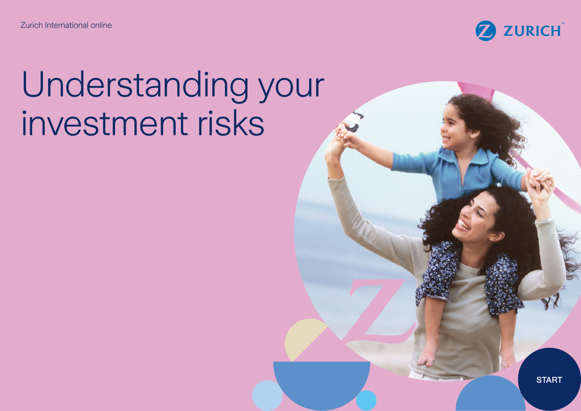Zurich International online



# Understanding your investment risks

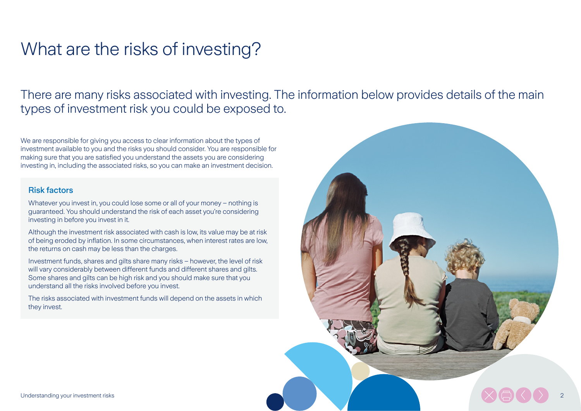# What are the risks of investing?

There are many risks associated with investing. The information below provides details of the main types of investment risk you could be exposed to.

We are responsible for giving you access to clear information about the types of investment available to you and the risks you should consider. You are responsible for making sure that you are satisfied you understand the assets you are considering investing in, including the associated risks, so you can make an investment decision.

# Risk factors

Whatever you invest in, you could lose some or all of your money – nothing is guaranteed. You should understand the risk of each asset you're considering investing in before you invest in it.

Although the investment risk associated with cash is low, its value may be at risk of being eroded by inflation. In some circumstances, when interest rates are low, the returns on cash may be less than the charges.

Investment funds, shares and gilts share many risks – however, the level of risk will vary considerably between different funds and different shares and gilts. Some shares and gilts can be high risk and you should make sure that you understand all the risks involved before you invest.

The risks associated with investment funds will depend on the assets in which they invest.

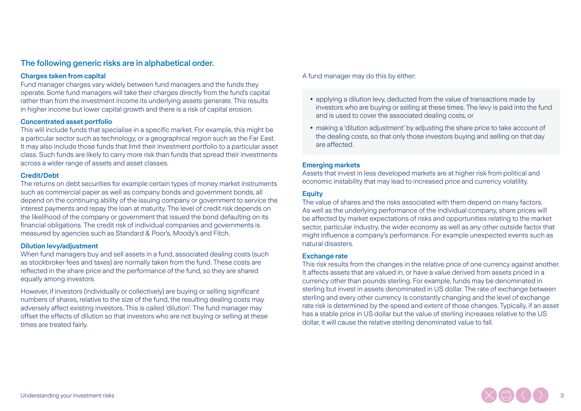# The following generic risks are in alphabetical order.

## **Charges taken from capital**

Fund manager charges vary widely between fund managers and the funds they operate. Some fund managers will take their charges directly from the fund's capital rather than from the investment income its underlying assets generate. This results in higher income but lower capital growth and there is a risk of capital erosion.

#### **Concentrated asset portfolio**

This will include funds that specialise in a specific market. For example, this might be a particular sector such as technology, or a geographical region such as the Far East. It may also include those funds that limit their investment portfolio to a particular asset class. Such funds are likely to carry more risk than funds that spread their investments across a wider range of assets and asset classes.

#### **Credit/Debt**

The returns on debt securities for example certain types of money market instruments such as commercial paper as well as company bonds and government bonds, all depend on the continuing ability of the issuing company or government to service the interest payments and repay the loan at maturity. The level of credit risk depends on the likelihood of the company or government that issued the bond defaulting on its financial obligations. The credit risk of individual companies and governments is measured by agencies such as Standard & Poor's, Moody's and Fitch.

#### **Dilution levy/adjustment**

When fund managers buy and sell assets in a fund, associated dealing costs (such as stockbroker fees and taxes) are normally taken from the fund. These costs are reflected in the share price and the performance of the fund, so they are shared equally among investors.

However, if investors (individually or collectively) are buying or selling significant numbers of shares, relative to the size of the fund, the resulting dealing costs may adversely affect existing investors. This is called 'dilution'. The fund manager may offset the effects of dilution so that investors who are not buying or selling at these times are treated fairly.

A fund manager may do this by either:

- **•** applying a dilution levy, deducted from the value of transactions made by investors who are buying or selling at these times. The levy is paid into the fund and is used to cover the associated dealing costs, or
- **•** making a 'dilution adjustment' by adjusting the share price to take account of the dealing costs, so that only those investors buying and selling on that day are affected.

#### **Emerging markets**

Assets that invest in less developed markets are at higher risk from political and economic instability that may lead to increased price and currency volatility.

#### **Equity**

The value of shares and the risks associated with them depend on many factors. As well as the underlying performance of the individual company, share prices will be affected by market expectations of risks and opportunities relating to the market sector, particular industry, the wider economy as well as any other outside factor that might influence a company's performance. For example unexpected events such as natural disasters.

#### **Exchange rate**

This risk results from the changes in the relative price of one currency against another. It affects assets that are valued in, or have a value derived from assets priced in a currency other than pounds sterling. For example, funds may be denominated in sterling but invest in assets denominated in US dollar. The rate of exchange between sterling and every other currency is constantly changing and the level of exchange rate risk is determined by the speed and extent of those changes. Typically, if an asset has a stable price in US dollar but the value of sterling increases relative to the US dollar, it will cause the relative sterling denominated value to fall.

3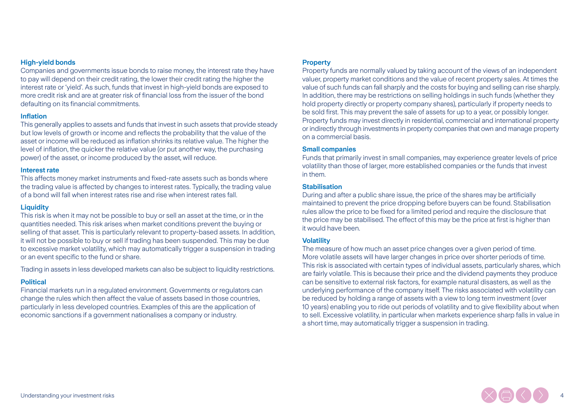#### **High-yield bonds**

Companies and governments issue bonds to raise money, the interest rate they have to pay will depend on their credit rating, the lower their credit rating the higher the interest rate or 'yield'. As such, funds that invest in high-yield bonds are exposed to more credit risk and are at greater risk of financial loss from the issuer of the bond defaulting on its financial commitments.

#### **Inflation**

This generally applies to assets and funds that invest in such assets that provide steady but low levels of growth or income and reflects the probability that the value of the asset or income will be reduced as inflation shrinks its relative value. The higher the level of inflation, the quicker the relative value (or put another way, the purchasing power) of the asset, or income produced by the asset, will reduce.

#### **Interest rate**

This affects money market instruments and fixed-rate assets such as bonds where the trading value is affected by changes to interest rates. Typically, the trading value of a bond will fall when interest rates rise and rise when interest rates fall.

#### **Liquidity**

This risk is when it may not be possible to buy or sell an asset at the time, or in the quantities needed. This risk arises when market conditions prevent the buying or selling of that asset. This is particularly relevant to property-based assets. In addition, it will not be possible to buy or sell if trading has been suspended. This may be due to excessive market volatility, which may automatically trigger a suspension in trading or an event specific to the fund or share.

Trading in assets in less developed markets can also be subject to liquidity restrictions.

## **Political**

Financial markets run in a regulated environment. Governments or regulators can change the rules which then affect the value of assets based in those countries, particularly in less developed countries. Examples of this are the application of economic sanctions if a government nationalises a company or industry.

#### **Property**

Property funds are normally valued by taking account of the views of an independent valuer, property market conditions and the value of recent property sales. At times the value of such funds can fall sharply and the costs for buying and selling can rise sharply. In addition, there may be restrictions on selling holdings in such funds (whether they hold property directly or property company shares), particularly if property needs to be sold first. This may prevent the sale of assets for up to a year, or possibly longer. Property funds may invest directly in residential, commercial and international property or indirectly through investments in property companies that own and manage property on a commercial basis.

#### **Small companies**

Funds that primarily invest in small companies, may experience greater levels of price volatility than those of larger, more established companies or the funds that invest in them.

#### **Stabilisation**

During and after a public share issue, the price of the shares may be artificially maintained to prevent the price dropping before buyers can be found. Stabilisation rules allow the price to be fixed for a limited period and require the disclosure that the price may be stabilised. The effect of this may be the price at first is higher than it would have been.

#### **Volatility**

The measure of how much an asset price changes over a given period of time. More volatile assets will have larger changes in price over shorter periods of time. This risk is associated with certain types of individual assets, particularly shares, which are fairly volatile. This is because their price and the dividend payments they produce can be sensitive to external risk factors, for example natural disasters, as well as the underlying performance of the company itself. The risks associated with volatility can be reduced by holding a range of assets with a view to long term investment (over 10 years) enabling you to ride out periods of volatility and to give flexibility about when to sell. Excessive volatility, in particular when markets experience sharp falls in value in a short time, may automatically trigger a suspension in trading.

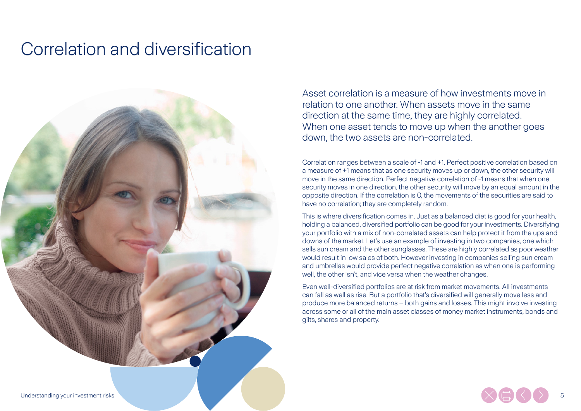# Correlation and diversification



Asset correlation is a measure of how investments move in relation to one another. When assets move in the same direction at the same time, they are highly correlated. When one asset tends to move up when the another goes down, the two assets are non-correlated.

Correlation ranges between a scale of -1 and +1. Perfect positive correlation based on a measure of +1 means that as one security moves up or down, the other security will move in the same direction. Perfect negative correlation of -1 means that when one security moves in one direction, the other security will move by an equal amount in the opposite direction. If the correlation is 0, the movements of the securities are said to have no correlation; they are completely random.

This is where diversification comes in. Just as a balanced diet is good for your health, holding a balanced, diversified portfolio can be good for your investments. Diversifying your portfolio with a mix of non-correlated assets can help protect it from the ups and downs of the market. Let's use an example of investing in two companies, one which sells sun cream and the other sunglasses. These are highly correlated as poor weather would result in low sales of both. However investing in companies selling sun cream and umbrellas would provide perfect negative correlation as when one is performing well, the other isn't, and vice versa when the weather changes.

Even well-diversified portfolios are at risk from market movements. All investments can fall as well as rise. But a portfolio that's diversified will generally move less and produce more balanced returns – both gains and losses. This might involve investing across some or all of the main asset classes of money market instruments, bonds and gilts, shares and property.